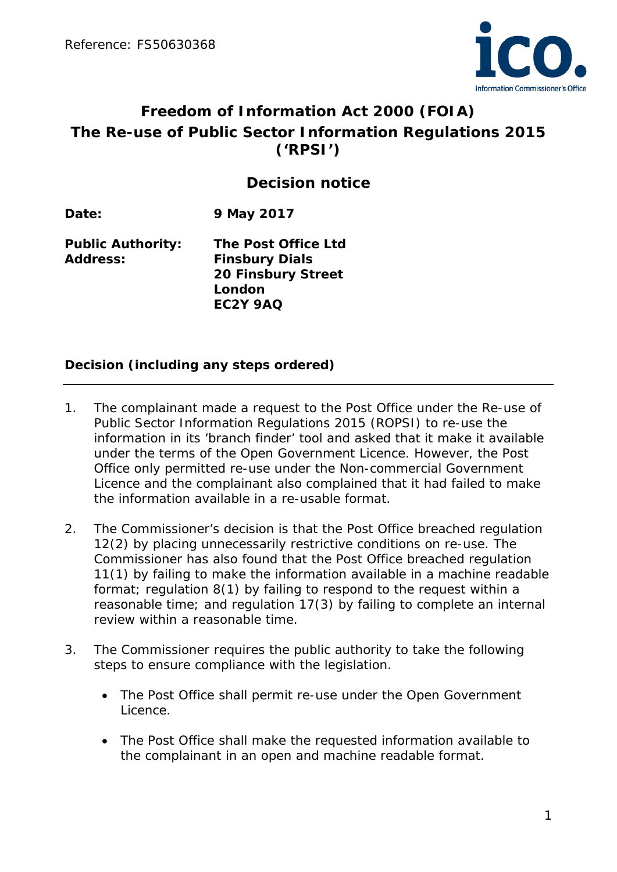

# **Freedom of Information Act 2000 (FOIA) The Re-use of Public Sector Information Regulations 2015 ('RPSI')**

# **Decision notice**

**Date: 9 May 2017**

**Public Authority: The Post Office Ltd Address: Finsbury Dials 20 Finsbury Street London EC2Y 9AQ**

#### **Decision (including any steps ordered)**

- 1. The complainant made a request to the Post Office under the Re-use of Public Sector Information Regulations 2015 (ROPSI) to re-use the information in its 'branch finder' tool and asked that it make it available under the terms of the Open Government Licence. However, the Post Office only permitted re-use under the Non-commercial Government Licence and the complainant also complained that it had failed to make the information available in a re-usable format.
- 2. The Commissioner's decision is that the Post Office breached regulation 12(2) by placing unnecessarily restrictive conditions on re-use. The Commissioner has also found that the Post Office breached regulation 11(1) by failing to make the information available in a machine readable format; regulation 8(1) by failing to respond to the request within a reasonable time; and regulation 17(3) by failing to complete an internal review within a reasonable time.
- 3. The Commissioner requires the public authority to take the following steps to ensure compliance with the legislation.
	- The Post Office shall permit re-use under the Open Government Licence.
	- The Post Office shall make the requested information available to the complainant in an open and machine readable format.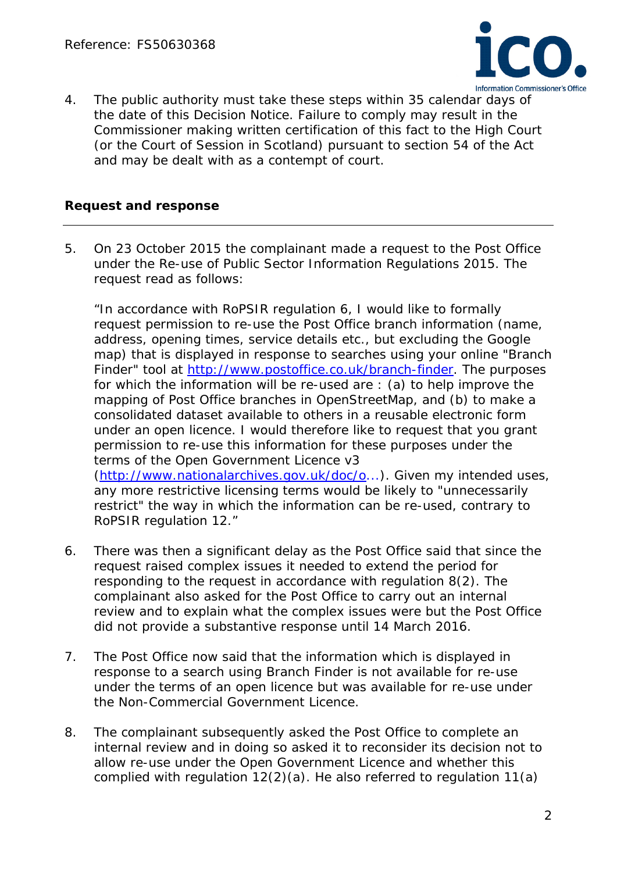

4. The public authority must take these steps within 35 calendar days of the date of this Decision Notice. Failure to comply may result in the Commissioner making written certification of this fact to the High Court (or the Court of Session in Scotland) pursuant to section 54 of the Act and may be dealt with as a contempt of court.

#### **Request and response**

5. On 23 October 2015 the complainant made a request to the Post Office under the Re-use of Public Sector Information Regulations 2015. The request read as follows:

*"In accordance with RoPSIR regulation 6, I would like to formally request permission to re-use the Post Office branch information (name, address, opening times, service details etc., but excluding the Google map) that is displayed in response to searches using your online "Branch Finder" tool at [http://www.postoffice.co.uk/branch-finder.](http://www.postoffice.co.uk/branch-finder) The purposes for which the information will be re-used are : (a) to help improve the mapping of Post Office branches in OpenStreetMap, and (b) to make a consolidated dataset available to others in a reusable electronic form under an open licence. I would therefore like to request that you grant permission to re-use this information for these purposes under the terms of the Open Government Licence v3 [\(http://www.nationalarchives.gov.uk/doc/o.](http://www.nationalarchives.gov.uk/doc/o)..). Given my intended uses, any more restrictive licensing terms would be likely to "unnecessarily restrict" the way in which the information can be re-used, contrary to RoPSIR regulation 12."*

- 6. There was then a significant delay as the Post Office said that since the request raised complex issues it needed to extend the period for responding to the request in accordance with regulation 8(2). The complainant also asked for the Post Office to carry out an internal review and to explain what the complex issues were but the Post Office did not provide a substantive response until 14 March 2016.
- 7. The Post Office now said that the information which is displayed in response to a search using Branch Finder is not available for re-use under the terms of an open licence but was available for re-use under the Non-Commercial Government Licence.
- 8. The complainant subsequently asked the Post Office to complete an internal review and in doing so asked it to reconsider its decision not to allow re-use under the Open Government Licence and whether this complied with regulation 12(2)(a). He also referred to regulation 11(a)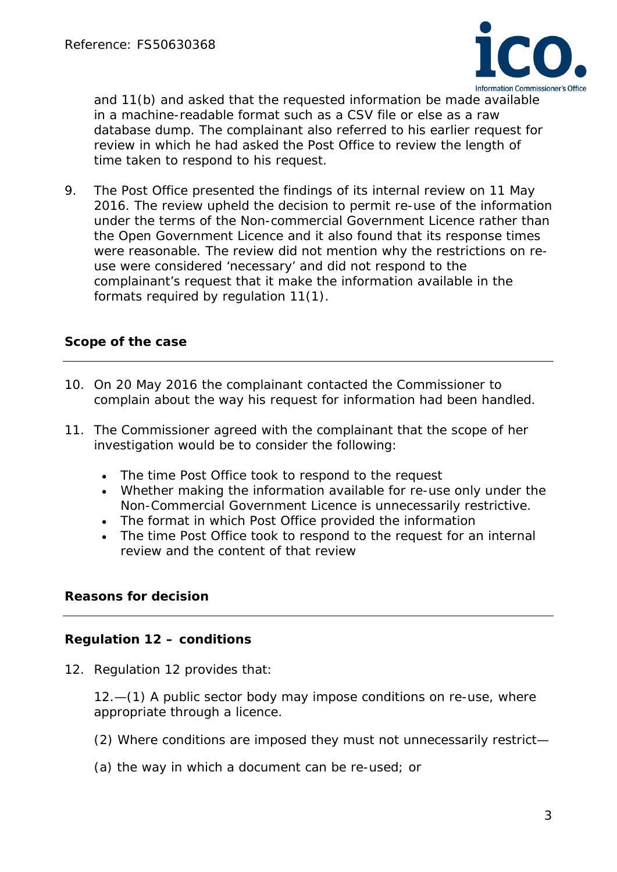

and 11(b) and asked that the requested information be made available in a machine-readable format such as a CSV file or else as a raw database dump. The complainant also referred to his earlier request for review in which he had asked the Post Office to review the length of time taken to respond to his request.

9. The Post Office presented the findings of its internal review on 11 May 2016. The review upheld the decision to permit re-use of the information under the terms of the Non-commercial Government Licence rather than the Open Government Licence and it also found that its response times were reasonable. The review did not mention why the restrictions on reuse were considered 'necessary' and did not respond to the complainant's request that it make the information available in the formats required by regulation 11(1).

#### **Scope of the case**

- 10. On 20 May 2016 the complainant contacted the Commissioner to complain about the way his request for information had been handled.
- 11. The Commissioner agreed with the complainant that the scope of her investigation would be to consider the following:
	- The time Post Office took to respond to the request
	- Whether making the information available for re-use only under the Non-Commercial Government Licence is unnecessarily restrictive.
	- The format in which Post Office provided the information
	- The time Post Office took to respond to the request for an internal review and the content of that review

#### **Reasons for decision**

#### **Regulation 12 – conditions**

12. Regulation 12 provides that:

*12.—(1) A public sector body may impose conditions on re-use, where appropriate through a licence.* 

- *(2) Where conditions are imposed they must not unnecessarily restrict—*
- *(a) the way in which a document can be re-used; or*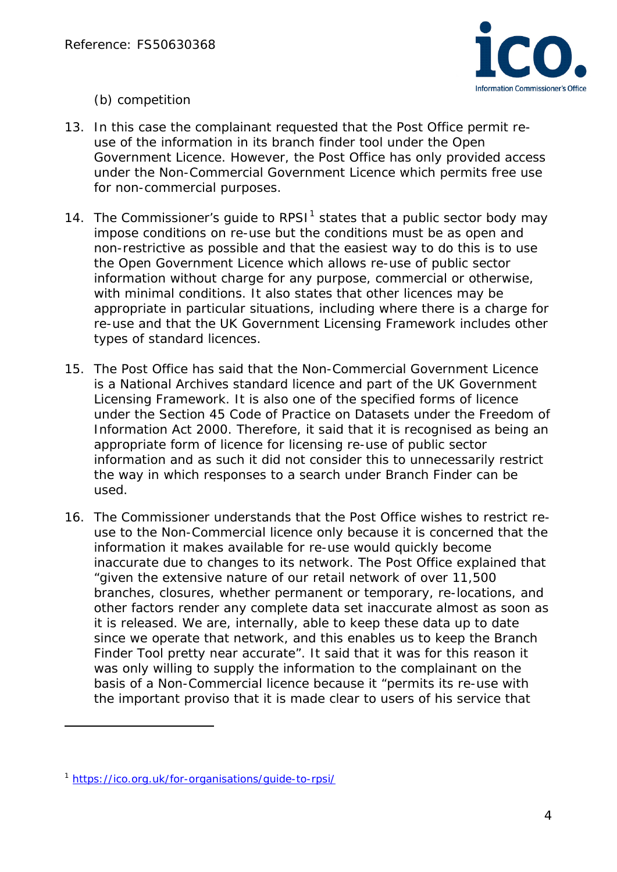

*(b) competition*

- 13. In this case the complainant requested that the Post Office permit reuse of the information in its branch finder tool under the Open Government Licence. However, the Post Office has only provided access under the Non-Commercial Government Licence which permits free use for non-commercial purposes.
- [1](#page-3-0)4. The Commissioner's quide to RPSI $<sup>1</sup>$  states that a public sector body may</sup> impose conditions on re-use but the conditions must be as open and non-restrictive as possible and that the easiest way to do this is to use the Open Government Licence which allows re-use of public sector information without charge for any purpose, commercial or otherwise, with minimal conditions. It also states that other licences may be appropriate in particular situations, including where there is a charge for re-use and that the UK Government Licensing Framework includes other types of standard licences.
- 15. The Post Office has said that the Non-Commercial Government Licence is a National Archives standard licence and part of the UK Government Licensing Framework. It is also one of the specified forms of licence under the Section 45 Code of Practice on Datasets under the Freedom of Information Act 2000. Therefore, it said that it is recognised as being an appropriate form of licence for licensing re-use of public sector information and as such it did not consider this to unnecessarily restrict the way in which responses to a search under Branch Finder can be used.
- 16. The Commissioner understands that the Post Office wishes to restrict reuse to the Non-Commercial licence only because it is concerned that the information it makes available for re-use would quickly become inaccurate due to changes to its network. The Post Office explained that "given the extensive nature of our retail network of over 11,500 branches, closures, whether permanent or temporary, re-locations, and other factors render any complete data set inaccurate almost as soon as it is released. We are, internally, able to keep these data up to date since we operate that network, and this enables us to keep the Branch Finder Tool pretty near accurate". It said that it was for this reason it was only willing to supply the information to the complainant on the basis of a Non-Commercial licence because it "permits its re-use with the important proviso that it is made clear to users of his service that

l

<span id="page-3-0"></span><sup>1</sup> <https://ico.org.uk/for-organisations/guide-to-rpsi/>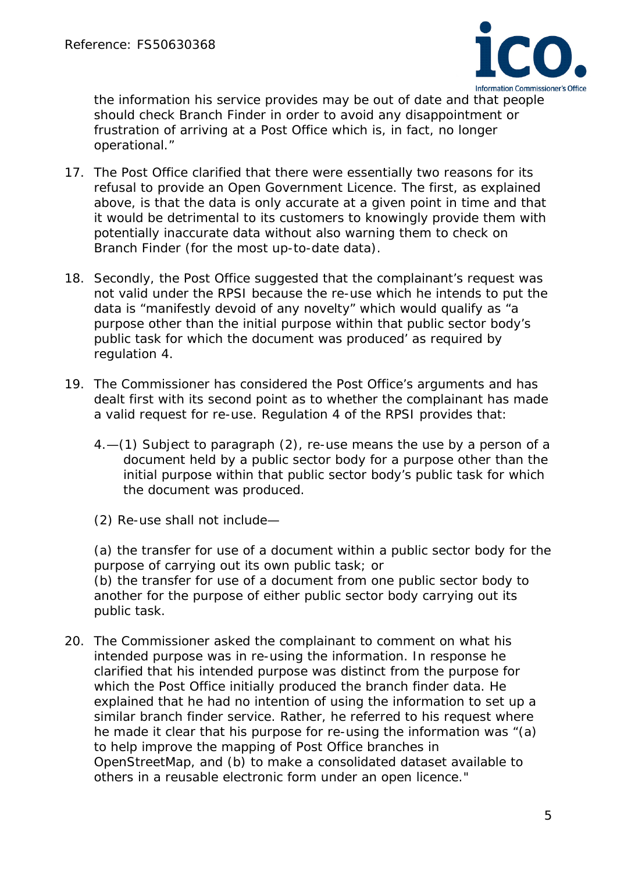

the information his service provides may be out of date and that people should check Branch Finder in order to avoid any disappointment or frustration of arriving at a Post Office which is, in fact, no longer operational."

- 17. The Post Office clarified that there were essentially two reasons for its refusal to provide an Open Government Licence. The first, as explained above, is that the data is only accurate at a given point in time and that it would be detrimental to its customers to knowingly provide them with potentially inaccurate data without also warning them to check on Branch Finder (for the most up-to-date data).
- 18. Secondly, the Post Office suggested that the complainant's request was not valid under the RPSI because the re-use which he intends to put the data is "manifestly devoid of any novelty" which would qualify as "*a purpose other than the initial purpose within that public sector body's public task for which the document was produced'* as required by regulation 4.
- 19. The Commissioner has considered the Post Office's arguments and has dealt first with its second point as to whether the complainant has made a valid request for re-use. Regulation 4 of the RPSI provides that:
	- *4.—(1) Subject to paragraph (2), re-use means the use by a person of a document held by a public sector body for a purpose other than the initial purpose within that public sector body's public task for which the document was produced.*
	- *(2) Re-use shall not include—*

*(a) the transfer for use of a document within a public sector body for the purpose of carrying out its own public task; or (b) the transfer for use of a document from one public sector body to another for the purpose of either public sector body carrying out its public task.*

20. The Commissioner asked the complainant to comment on what his intended purpose was in re-using the information. In response he clarified that his intended purpose was distinct from the purpose for which the Post Office initially produced the branch finder data. He explained that he had no intention of using the information to set up a similar branch finder service. Rather, he referred to his request where he made it clear that his purpose for re-using the information was "(a) to help improve the mapping of Post Office branches in OpenStreetMap, and (b) to make a consolidated dataset available to others in a reusable electronic form under an open licence."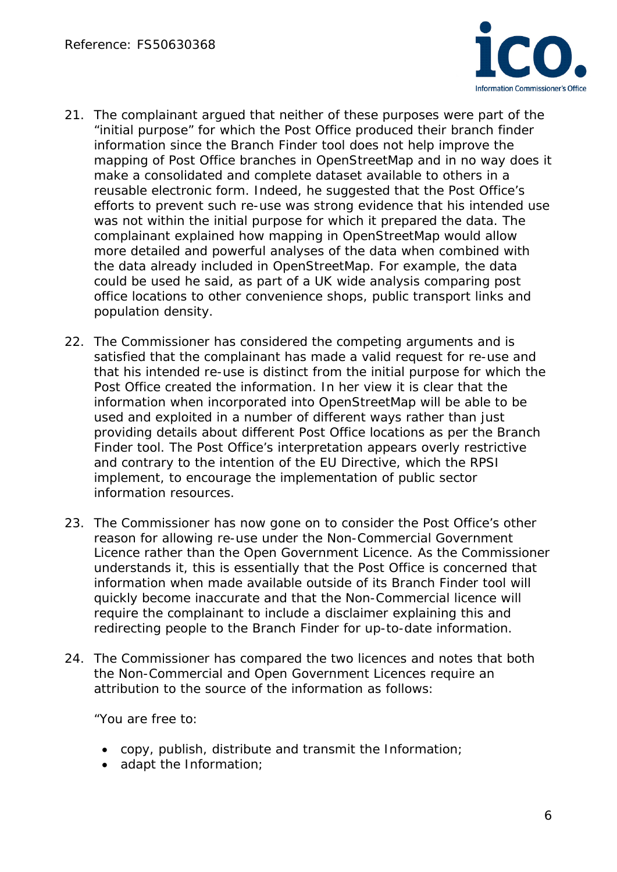

- 21. The complainant argued that neither of these purposes were part of the "initial purpose" for which the Post Office produced their branch finder information since the Branch Finder tool does not help improve the mapping of Post Office branches in OpenStreetMap and in no way does it make a consolidated and complete dataset available to others in a reusable electronic form. Indeed, he suggested that the Post Office's efforts to prevent such re-use was strong evidence that his intended use was not within the initial purpose for which it prepared the data. The complainant explained how mapping in OpenStreetMap would allow more detailed and powerful analyses of the data when combined with the data already included in OpenStreetMap. For example, the data could be used he said, as part of a UK wide analysis comparing post office locations to other convenience shops, public transport links and population density.
- 22. The Commissioner has considered the competing arguments and is satisfied that the complainant has made a valid request for re-use and that his intended re-use is distinct from the initial purpose for which the Post Office created the information. In her view it is clear that the information when incorporated into OpenStreetMap will be able to be used and exploited in a number of different ways rather than just providing details about different Post Office locations as per the Branch Finder tool. The Post Office's interpretation appears overly restrictive and contrary to the intention of the EU Directive, which the RPSI implement, to encourage the implementation of public sector information resources.
- 23. The Commissioner has now gone on to consider the Post Office's other reason for allowing re-use under the Non-Commercial Government Licence rather than the Open Government Licence. As the Commissioner understands it, this is essentially that the Post Office is concerned that information when made available outside of its Branch Finder tool will quickly become inaccurate and that the Non-Commercial licence will require the complainant to include a disclaimer explaining this and redirecting people to the Branch Finder for up-to-date information.
- 24. The Commissioner has compared the two licences and notes that both the Non-Commercial and Open Government Licences require an attribution to the source of the information as follows:

*"You are free to:*

- *copy, publish, distribute and transmit the Information;*
- *adapt the Information;*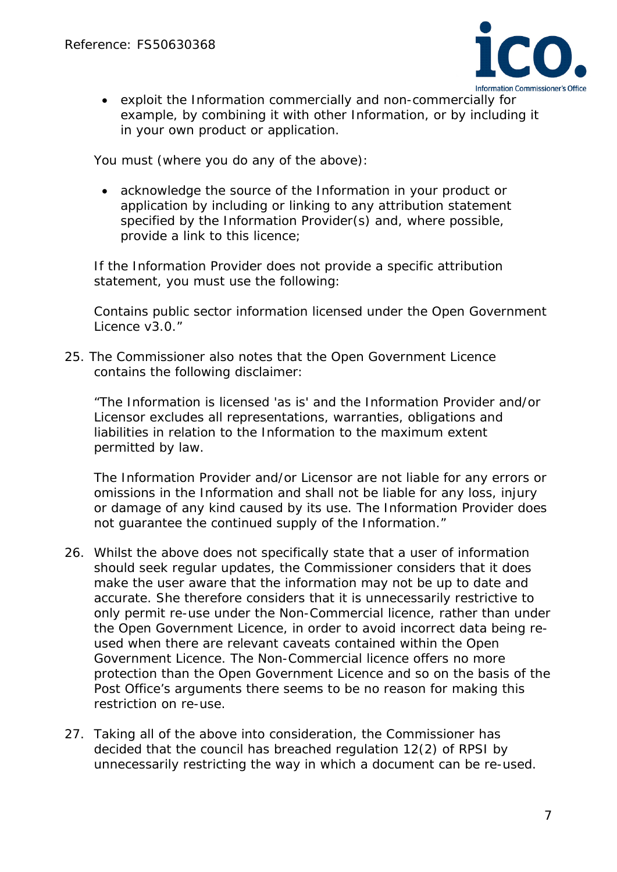

• *exploit the Information commercially and non-commercially for example, by combining it with other Information, or by including it in your own product or application.*

*You must (where you do any of the above):*

• *acknowledge the source of the Information in your product or application by including or linking to any attribution statement specified by the Information Provider(s) and, where possible, provide a link to this licence;*

*If the Information Provider does not provide a specific attribution statement, you must use the following:*

*Contains public sector information licensed under the Open Government Licence v3.0."*

25. The Commissioner also notes that the Open Government Licence contains the following disclaimer:

*"The Information is licensed 'as is' and the Information Provider and/or Licensor excludes all representations, warranties, obligations and liabilities in relation to the Information to the maximum extent permitted by law.*

*The Information Provider and/or Licensor are not liable for any errors or omissions in the Information and shall not be liable for any loss, injury or damage of any kind caused by its use. The Information Provider does not guarantee the continued supply of the Information."*

- 26. Whilst the above does not specifically state that a user of information should seek regular updates, the Commissioner considers that it does make the user aware that the information may not be up to date and accurate. She therefore considers that it is unnecessarily restrictive to only permit re-use under the Non-Commercial licence, rather than under the Open Government Licence, in order to avoid incorrect data being reused when there are relevant caveats contained within the Open Government Licence. The Non-Commercial licence offers no more protection than the Open Government Licence and so on the basis of the Post Office's arguments there seems to be no reason for making this restriction on re-use.
- 27. Taking all of the above into consideration, the Commissioner has decided that the council has breached regulation 12(2) of RPSI by unnecessarily restricting the way in which a document can be re-used.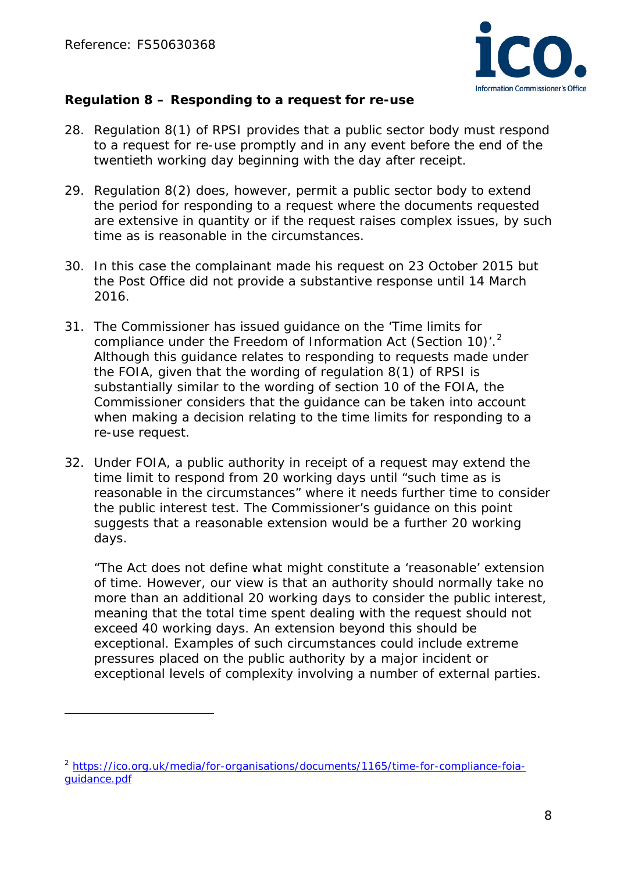$\overline{a}$ 



## **Regulation 8 – Responding to a request for re-use**

- 28. Regulation 8(1) of RPSI provides that a public sector body must respond to a request for re-use promptly and in any event before the end of the twentieth working day beginning with the day after receipt.
- 29. Regulation 8(2) does, however, permit a public sector body to extend the period for responding to a request where the documents requested are extensive in quantity or if the request raises complex issues, by such time as is reasonable in the circumstances.
- 30. In this case the complainant made his request on 23 October 2015 but the Post Office did not provide a substantive response until 14 March 2016.
- 31. The Commissioner has issued guidance on the 'Time limits for compliance under the Freedom of Information Act (Section 10)<sup>'</sup>.<sup>[2](#page-7-0)</sup> Although this guidance relates to responding to requests made under the FOIA, given that the wording of regulation 8(1) of RPSI is substantially similar to the wording of section 10 of the FOIA, the Commissioner considers that the guidance can be taken into account when making a decision relating to the time limits for responding to a re-use request.
- 32. Under FOIA, a public authority in receipt of a request may extend the time limit to respond from 20 working days until "such time as is reasonable in the circumstances" where it needs further time to consider the public interest test. The Commissioner's guidance on this point suggests that a reasonable extension would be a further 20 working days.

"*The Act does not define what might constitute a 'reasonable' extension of time. However, our view is that an authority should normally take no more than an additional 20 working days to consider the public interest, meaning that the total time spent dealing with the request should not exceed 40 working days. An extension beyond this should be exceptional. Examples of such circumstances could include extreme pressures placed on the public authority by a major incident or exceptional levels of complexity involving a number of external parties.* 

<span id="page-7-0"></span><sup>&</sup>lt;sup>2</sup> [https://ico.org.uk/media/for-organisations/documents/1165/time-for-compliance-foia](https://ico.org.uk/media/for-organisations/documents/1165/time-for-compliance-foia-guidance.pdf)[guidance.pdf](https://ico.org.uk/media/for-organisations/documents/1165/time-for-compliance-foia-guidance.pdf)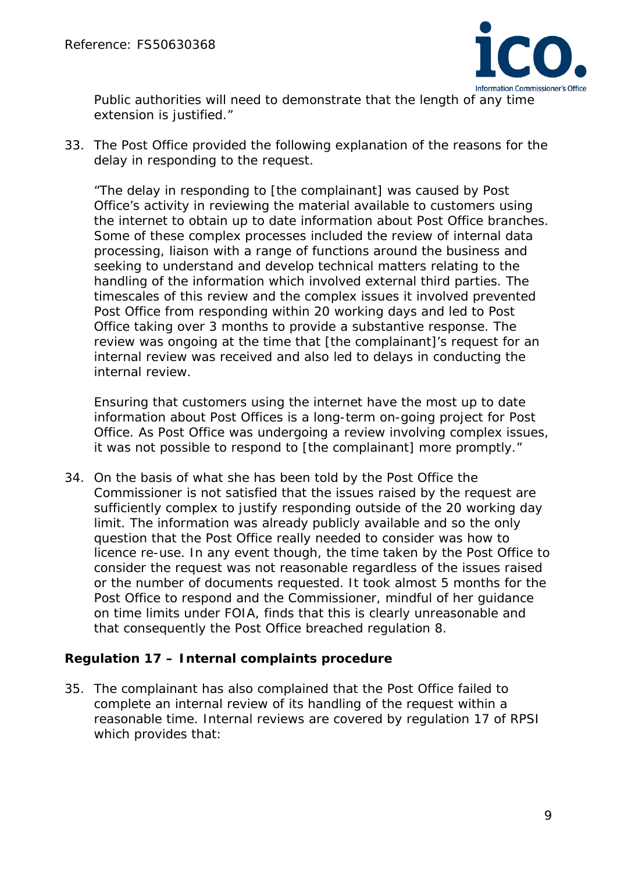

*Public authorities will need to demonstrate that the length of any time extension is justified."*

33. The Post Office provided the following explanation of the reasons for the delay in responding to the request.

*"The delay in responding to [the complainant] was caused by Post Office's activity in reviewing the material available to customers using the internet to obtain up to date information about Post Office branches. Some of these complex processes included the review of internal data processing, liaison with a range of functions around the business and seeking to understand and develop technical matters relating to the handling of the information which involved external third parties. The timescales of this review and the complex issues it involved prevented Post Office from responding within 20 working days and led to Post Office taking over 3 months to provide a substantive response. The review was ongoing at the time that [the complainant]'s request for an internal review was received and also led to delays in conducting the internal review.* 

*Ensuring that customers using the internet have the most up to date information about Post Offices is a long-term on-going project for Post Office. As Post Office was undergoing a review involving complex issues, it was not possible to respond to [the complainant] more promptly."*

34. On the basis of what she has been told by the Post Office the Commissioner is not satisfied that the issues raised by the request are sufficiently complex to justify responding outside of the 20 working day limit. The information was already publicly available and so the only question that the Post Office really needed to consider was how to licence re-use. In any event though, the time taken by the Post Office to consider the request was not reasonable regardless of the issues raised or the number of documents requested. It took almost 5 months for the Post Office to respond and the Commissioner, mindful of her guidance on time limits under FOIA, finds that this is clearly unreasonable and that consequently the Post Office breached regulation 8.

#### **Regulation 17 – Internal complaints procedure**

35. The complainant has also complained that the Post Office failed to complete an internal review of its handling of the request within a reasonable time. Internal reviews are covered by regulation 17 of RPSI which provides that: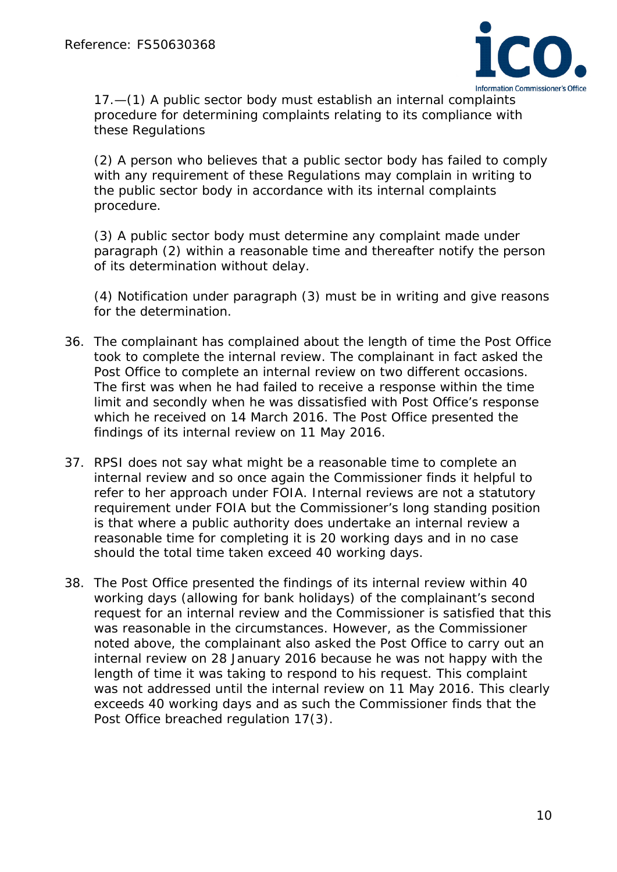

*17.—(1) A public sector body must establish an internal complaints procedure for determining complaints relating to its compliance with these Regulations*

*(2) A person who believes that a public sector body has failed to comply with any requirement of these Regulations may complain in writing to the public sector body in accordance with its internal complaints procedure.* 

*(3) A public sector body must determine any complaint made under paragraph (2) within a reasonable time and thereafter notify the person of its determination without delay.* 

*(4) Notification under paragraph (3) must be in writing and give reasons for the determination.* 

- 36. The complainant has complained about the length of time the Post Office took to complete the internal review. The complainant in fact asked the Post Office to complete an internal review on two different occasions. The first was when he had failed to receive a response within the time limit and secondly when he was dissatisfied with Post Office's response which he received on 14 March 2016. The Post Office presented the findings of its internal review on 11 May 2016.
- 37. RPSI does not say what might be a reasonable time to complete an internal review and so once again the Commissioner finds it helpful to refer to her approach under FOIA. Internal reviews are not a statutory requirement under FOIA but the Commissioner's long standing position is that where a public authority does undertake an internal review a reasonable time for completing it is 20 working days and in no case should the total time taken exceed 40 working days.
- 38. The Post Office presented the findings of its internal review within 40 working days (allowing for bank holidays) of the complainant's second request for an internal review and the Commissioner is satisfied that this was reasonable in the circumstances. However, as the Commissioner noted above, the complainant also asked the Post Office to carry out an internal review on 28 January 2016 because he was not happy with the length of time it was taking to respond to his request. This complaint was not addressed until the internal review on 11 May 2016. This clearly exceeds 40 working days and as such the Commissioner finds that the Post Office breached regulation 17(3).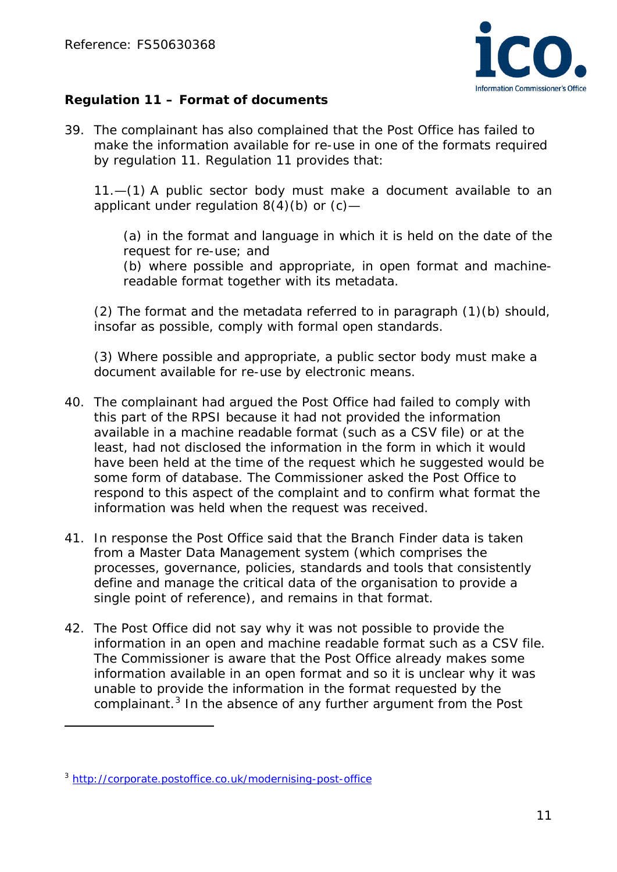![](_page_10_Picture_1.jpeg)

# **Regulation 11 – Format of documents**

39. The complainant has also complained that the Post Office has failed to make the information available for re-use in one of the formats required by regulation 11. Regulation 11 provides that:

*11.—(1) A public sector body must make a document available to an applicant under regulation 8(4)(b) or (c)—*

*(a) in the format and language in which it is held on the date of the request for re-use; and (b) where possible and appropriate, in open format and machinereadable format together with its metadata.*

*(2) The format and the metadata referred to in paragraph (1)(b) should, insofar as possible, comply with formal open standards.* 

*(3) Where possible and appropriate, a public sector body must make a document available for re-use by electronic means.* 

- 40. The complainant had argued the Post Office had failed to comply with this part of the RPSI because it had not provided the information available in a machine readable format (such as a CSV file) or at the least, had not disclosed the information in the form in which it would have been held at the time of the request which he suggested would be some form of database. The Commissioner asked the Post Office to respond to this aspect of the complaint and to confirm what format the information was held when the request was received.
- 41. In response the Post Office said that the Branch Finder data is taken from a Master Data Management system (which comprises the processes, governance, policies, standards and tools that consistently define and manage the critical data of the organisation to provide a single point of reference), and remains in that format.
- 42. The Post Office did not say why it was not possible to provide the information in an open and machine readable format such as a CSV file. The Commissioner is aware that the Post Office already makes some information available in an open format and so it is unclear why it was unable to provide the information in the format requested by the complainant.<sup>[3](#page-10-0)</sup> In the absence of any further argument from the Post

l

<span id="page-10-0"></span><sup>3</sup> <http://corporate.postoffice.co.uk/modernising-post-office>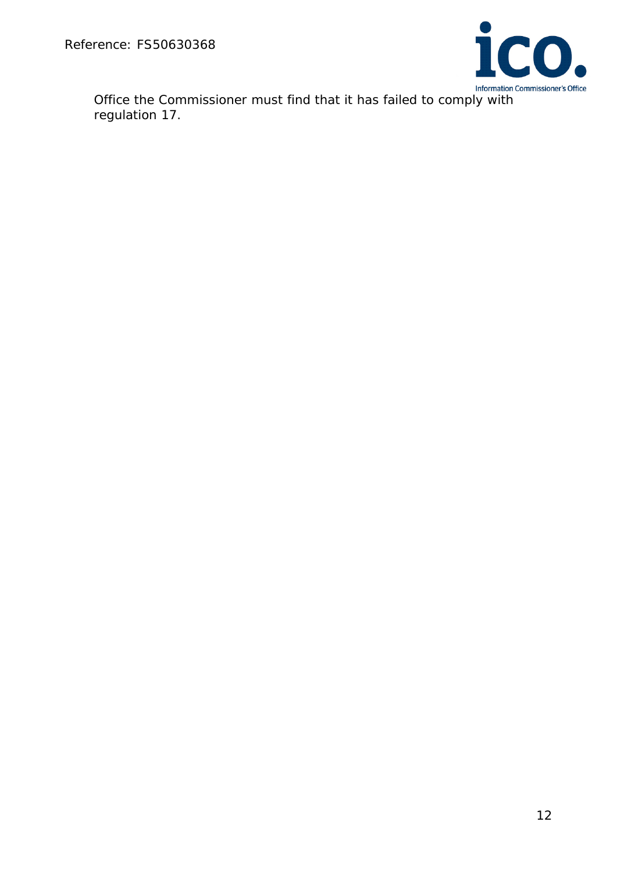![](_page_11_Picture_1.jpeg)

Office the Commissioner must find that it has failed to comply with regulation 17.